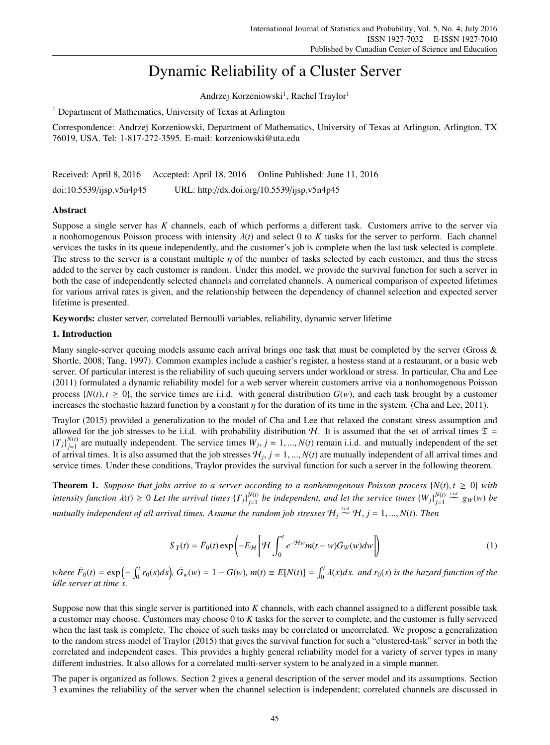# Dynamic Reliability of a Cluster Server

Andrzej Korzeniowski<sup>1</sup>, Rachel Traylor<sup>1</sup>

<sup>1</sup> Department of Mathematics, University of Texas at Arlington

Correspondence: Andrzej Korzeniowski, Department of Mathematics, University of Texas at Arlington, Arlington, TX 76019, USA. Tel: 1-817-272-3595. E-mail: korzeniowski@uta.edu

Received: April 8, 2016 Accepted: April 18, 2016 Online Published: June 11, 2016 doi:10.5539/ijsp.v5n4p45 URL: http://dx.doi.org/10.5539/ijsp.v5n4p45

# Abstract

Suppose a single server has *K* channels, each of which performs a different task. Customers arrive to the server via a nonhomogenous Poisson process with intensity  $\lambda(t)$  and select 0 to *K* tasks for the server to perform. Each channel services the tasks in its queue independently, and the customer's job is complete when the last task selected is complete. The stress to the server is a constant multiple  $\eta$  of the number of tasks selected by each customer, and thus the stress added to the server by each customer is random. Under this model, we provide the survival function for such a server in both the case of independently selected channels and correlated channels. A numerical comparison of expected lifetimes for various arrival rates is given, and the relationship between the dependency of channel selection and expected server lifetime is presented.

Keywords: cluster server, correlated Bernoulli variables, reliability, dynamic server lifetime

# 1. Introduction

Many single-server queuing models assume each arrival brings one task that must be completed by the server (Gross & Shortle, 2008; Tang, 1997). Common examples include a cashier's register, a hostess stand at a restaurant, or a basic web server. Of particular interest is the reliability of such queuing servers under workload or stress. In particular, Cha and Lee (2011) formulated a dynamic reliability model for a web server wherein customers arrive via a nonhomogenous Poisson process  $\{N(t), t \geq 0\}$ , the service times are i.i.d. with general distribution  $G(w)$ , and each task brought by a customer increases the stochastic hazard function by a constant  $\eta$  for the duration of its time in the system. (Cha and Lee, 2011).

Traylor (2015) provided a generalization to the model of Cha and Lee that relaxed the constant stress assumption and allowed for the job stresses to be i.i.d. with probability distribution H. It is assumed that the set of arrival times  $\mathfrak{T} =$  $\{T_j\}_{j=1}^{N(t)}$  $j_{j=1}^{N(t)}$  are mutually independent. The service times  $W_j$ ,  $j = 1, ..., N(t)$  remain i.i.d. and mutually independent of the set of arrival times. It is also assumed that the job stresses  $H_j$ ,  $j = 1, ..., N(t)$  are mutually independent of all arrival times and service times. Under these conditions, Traylor provides the survival function for such a server in the following theorem.

**Theorem 1.** Suppose that jobs arrive to a server according to a nonhomogenous Poisson process  $\{N(t), t \geq 0\}$  with *intensity function*  $\lambda(t) \geq 0$  *Let the arrival times*  $\{T_j\}_{j=1}^{N(t)}$  $_{j=1}^{N(t)}$  be independent, and let the service times  ${W_j}$  $_{j=1}^{N(t)}$ *j*=1  $\frac{i.i.d.}{\sim} g_W(w)$  *be mutually independent of all arrival times. Assume the random job stresses*  $\mathcal{H}_j \stackrel{\text{i.i.d.}}{\sim} \mathcal{H}, j = 1, ..., N(t)$ . Then

$$
S_Y(t) = \bar{F}_0(t) \exp\left(-E_{\mathcal{H}} \left[\mathcal{H} \int_0^t e^{-\mathcal{H}w} m(t - w) \bar{G}_W(w) dw\right]\right) \tag{1}
$$

where  $\bar{F}_0(t) = \exp\left(-\int_0^t r_0(s)ds\right)$ ,  $\bar{G}_w(w) = 1 - G(w)$ ,  $m(t) \equiv E[N(t)] = \int_0^t \lambda(x)dx$ . and  $r_0(s)$  is the hazard function of the *idle server at time s.*

Suppose now that this single server is partitioned into *K* channels, with each channel assigned to a different possible task a customer may choose. Customers may choose 0 to *K* tasks for the server to complete, and the customer is fully serviced when the last task is complete. The choice of such tasks may be correlated or uncorrelated. We propose a generalization to the random stress model of Traylor (2015) that gives the survival function for such a "clustered-task" server in both the correlated and independent cases. This provides a highly general reliability model for a variety of server types in many different industries. It also allows for a correlated multi-server system to be analyzed in a simple manner.

The paper is organized as follows. Section 2 gives a general description of the server model and its assumptions. Section 3 examines the reliability of the server when the channel selection is independent; correlated channels are discussed in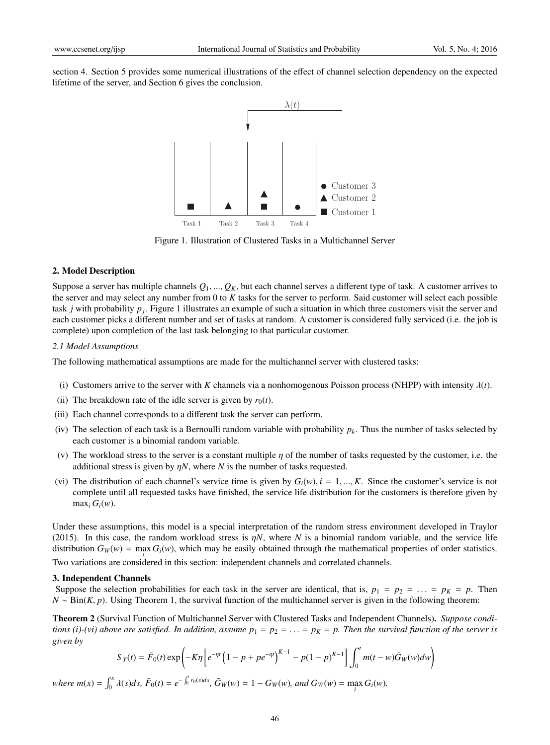section 4. Section 5 provides some numerical illustrations of the effect of channel selection dependency on the expected lifetime of the server, and Section 6 gives the conclusion.



Figure 1. Illustration of Clustered Tasks in a Multichannel Server

# 2. Model Description

Suppose a server has multiple channels  $Q_1, ..., Q_K$ , but each channel serves a different type of task. A customer arrives to the server and may select any number from 0 to *K* tasks for the server to perform. Said customer will select each possible task *j* with probability *p<sup>j</sup>* . Figure 1 illustrates an example of such a situation in which three customers visit the server and each customer picks a different number and set of tasks at random. A customer is considered fully serviced (i.e. the job is complete) upon completion of the last task belonging to that particular customer.

#### *2.1 Model Assumptions*

The following mathematical assumptions are made for the multichannel server with clustered tasks:

- (i) Customers arrive to the server with *K* channels via a nonhomogenous Poisson process (NHPP) with intensity  $\lambda(t)$ .
- (ii) The breakdown rate of the idle server is given by  $r_0(t)$ .
- (iii) Each channel corresponds to a different task the server can perform.
- (iv) The selection of each task is a Bernoulli random variable with probability  $p_k$ . Thus the number of tasks selected by each customer is a binomial random variable.
- (v) The workload stress to the server is a constant multiple  $\eta$  of the number of tasks requested by the customer, i.e. the additional stress is given by  $nN$ , where *N* is the number of tasks requested.
- (vi) The distribution of each channel's service time is given by  $G_i(w)$ ,  $i = 1, ..., K$ . Since the customer's service is not complete until all requested tasks have finished, the service life distribution for the customers is therefore given by  $max_i G_i(w)$ .

Under these assumptions, this model is a special interpretation of the random stress environment developed in Traylor (2015). In this case, the random workload stress is  $\eta N$ , where *N* is a binomial random variable, and the service life distribution  $G_W(w) = \max G_i(w)$ , which may be easily obtained through the mathematical properties of order statistics. *i* Two variations are considered in this section: independent channels and correlated channels.

#### 3. Independent Channels

Suppose the selection probabilities for each task in the server are identical, that is,  $p_1 = p_2 = \ldots = p_K = p$ . Then *N* ∼ Bin(*K*, *p*). Using Theorem 1, the survival function of the multichannel server is given in the following theorem:

Theorem 2 (Survival Function of Multichannel Server with Clustered Tasks and Independent Channels). *Suppose conditions (i)-(vi) above are satisfied. In addition, assume*  $p_1 = p_2 = \ldots = p_K = p$ . Then the survival function of the server is *given by*

$$
S_Y(t) = \bar{F}_0(t) \exp\left(-K\eta \left[e^{-\eta t} \left(1 - p + pe^{-\eta t}\right)^{K-1} - p(1-p)^{K-1}\right]\int_0^t m(t-w)\bar{G}_W(w)dw\right)
$$

where  $m(x) = \int_0^x \lambda(s)ds$ ,  $\bar{F}_0(t) = e^{-\int_0^t r_0(s)ds}$ ,  $\bar{G}_W(w) = 1 - G_W(w)$ , and  $G_W(w) = \max_i G_i(w)$ .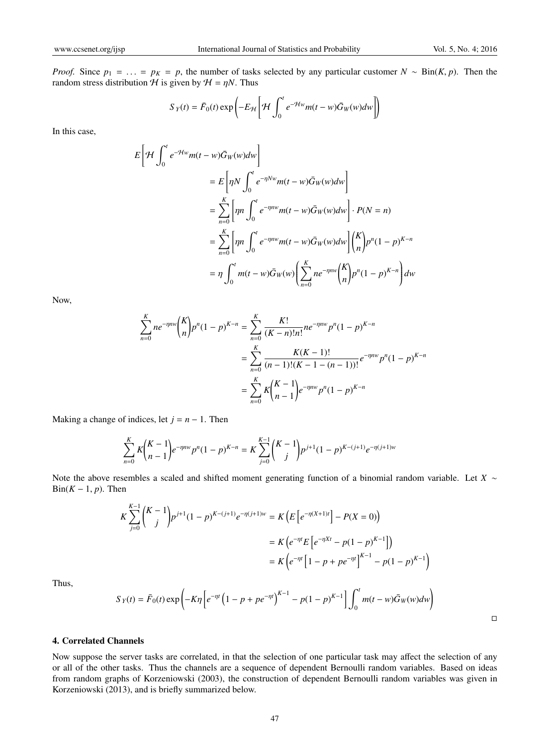*Proof.* Since  $p_1 = \ldots = p_K = p$ , the number of tasks selected by any particular customer  $N \sim Bin(K, p)$ . Then the random stress distribution  $H$  is given by  $H = \eta N$ . Thus

$$
S_Y(t) = \bar{F}_0(t) \exp\left(-E_{\mathcal{H}} \left[\mathcal{H} \int_0^t e^{-\mathcal{H}w} m(t-w) \bar{G}_W(w) dw\right]\right)
$$

In this case,

$$
E\left[\mathcal{H}\int_{0}^{t}e^{-\mathcal{H}w}m(t-w)\bar{G}_{W}(w)dw\right]
$$
  
\n
$$
=E\left[\eta N\int_{0}^{t}e^{-\eta Nw}m(t-w)\bar{G}_{W}(w)dw\right]
$$
  
\n
$$
=\sum_{n=0}^{K}\left[\eta n\int_{0}^{t}e^{-\eta n w}m(t-w)\bar{G}_{W}(w)dw\right]\cdot P(N=n)
$$
  
\n
$$
=\sum_{n=0}^{K}\left[\eta n\int_{0}^{t}e^{-\eta n w}m(t-w)\bar{G}_{W}(w)dw\right]\binom{K}{n}p^{n}(1-p)^{K-n}
$$
  
\n
$$
=\eta\int_{0}^{t}m(t-w)\bar{G}_{W}(w)\left(\sum_{n=0}^{K}ne^{-\eta n w}\binom{K}{n}p^{n}(1-p)^{K-n}\right)dw
$$

Now,

$$
\sum_{n=0}^{K} ne^{-\eta n w} {K \choose n} p^n (1-p)^{K-n} = \sum_{n=0}^{K} \frac{K!}{(K-n)!n!} n e^{-\eta n w} p^n (1-p)^{K-n}
$$

$$
= \sum_{n=0}^{K} \frac{K(K-1)!}{(n-1)!(K-1-(n-1))!} e^{-\eta n w} p^n (1-p)^{K-n}
$$

$$
= \sum_{n=0}^{K} K {K-1 \choose n-1} e^{-\eta n w} p^n (1-p)^{K-n}
$$

Making a change of indices, let  $j = n - 1$ . Then

$$
\sum_{n=0}^{K} K {K-1 \choose n-1} e^{-\eta n w} p^n (1-p)^{K-n} = K \sum_{j=0}^{K-1} {K-1 \choose j} p^{j+1} (1-p)^{K-(j+1)} e^{-\eta (j+1) w}
$$

Note the above resembles a scaled and shifted moment generating function of a binomial random variable. Let *X* ∼ Bin( $K - 1$ ,  $p$ ). Then

$$
K \sum_{j=0}^{K-1} {K-1 \choose j} p^{j+1} (1-p)^{K-(j+1)} e^{-\eta (j+1)w} = K \Big( E \Big[ e^{-\eta (X+1)t} \Big] - P(X=0) \Big)
$$
  

$$
= K \Big( e^{-\eta t} E \Big[ e^{-\eta Xt} - p(1-p)^{K-1} \Big] \Big)
$$
  

$$
= K \Big( e^{-\eta t} \Big[ 1 - p + p e^{-\eta t} \Big]^{K-1} - p(1-p)^{K-1} \Big)
$$
  

$$
S_Y(t) = \bar{F}_0(t) \exp \Big( -K\eta \Big[ e^{-\eta t} \Big( 1 - p + p e^{-\eta t} \Big)^{K-1} - p(1-p)^{K-1} \Big] \int_0^t m(t-w) \bar{G}_W(w) dw \Big)
$$

 $\Box$ 

# 4. Correlated Channels

Thus,

Now suppose the server tasks are correlated, in that the selection of one particular task may affect the selection of any or all of the other tasks. Thus the channels are a sequence of dependent Bernoulli random variables. Based on ideas from random graphs of Korzeniowski (2003), the construction of dependent Bernoulli random variables was given in Korzeniowski (2013), and is briefly summarized below.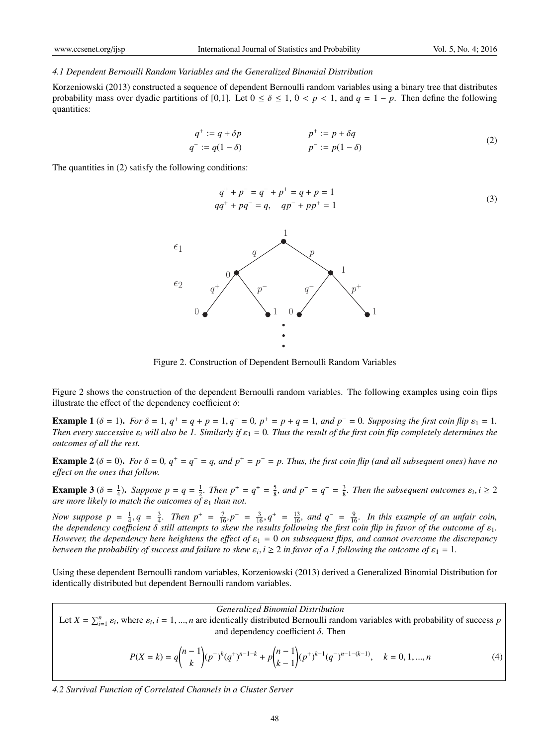#### *4.1 Dependent Bernoulli Random Variables and the Generalized Binomial Distribution*

Korzeniowski (2013) constructed a sequence of dependent Bernoulli random variables using a binary tree that distributes probability mass over dyadic partitions of [0,1]. Let  $0 \le \delta \le 1$ ,  $0 \le p \le 1$ , and  $q = 1 - p$ . Then define the following quantities:

$$
q^+ := q + \delta p
$$
  
\n
$$
q^- := q(1 - \delta)
$$
  
\n
$$
p^+ := p + \delta q
$$
  
\n
$$
p^- := p(1 - \delta)
$$
\n(2)

The quantities in (2) satisfy the following conditions:

$$
q^{+} + p^{-} = q^{-} + p^{+} = q + p = 1
$$
  
\n
$$
qq^{+} + pq^{-} = q, \quad qp^{-} + pp^{+} = 1
$$
\n(3)



Figure 2. Construction of Dependent Bernoulli Random Variables

Figure 2 shows the construction of the dependent Bernoulli random variables. The following examples using coin flips illustrate the effect of the dependency coefficient  $\delta$ :

**Example 1** ( $\delta = 1$ ). *For*  $\delta = 1$ ,  $q^+ = q + p = 1$ ,  $q^- = 0$ ,  $p^+ = p + q = 1$ , and  $p^- = 0$ . Supposing the first coin flip  $\varepsilon_1 = 1$ . *Then every successive*  $\varepsilon_i$  *will also be 1. Similarly if*  $\varepsilon_1 = 0$ *. Thus the result of the first coin flip completely determines the outcomes of all the rest.*

**Example 2** ( $\delta$  = 0). *For*  $\delta$  = 0,  $q^+ = q^- = q$ , and  $p^+ = p^- = p$ . *Thus, the first coin flip (and all subsequent ones) have no e*ff*ect on the ones that follow.*

**Example 3** ( $\delta = \frac{1}{4}$ ). Suppose  $p = q = \frac{1}{2}$ . Then  $p^+ = q^+ = \frac{5}{8}$ , and  $p^- = q^- = \frac{3}{8}$ . Then the subsequent outcomes  $\varepsilon_i$ ,  $i \ge 2$  $\overline{a}$ *re more likely to match the outcomes of*  $\varepsilon_1$  *than not.* 

*Now suppose p* =  $\frac{1}{4}$ , *q* =  $\frac{3}{4}$ . *Then p*<sup>+</sup> =  $\frac{7}{16}$ , *p*<sup>-</sup> =  $\frac{3}{16}$ , *q*<sup>+</sup> =  $\frac{13}{16}$ , *and q*<sup>-</sup> =  $\frac{9}{16}$ . *In this example of an unfair coin*, *the dependency coe*ffi*cient* δ *still attempts to skew the results following the first coin flip in favor of the outcome of* ε1*. However, the dependency here heightens the effect of*  $\varepsilon_1 = 0$  *on subsequent flips, and cannot overcome the discrepancy between the probability of success and failure to skew*  $\varepsilon_i$ ,  $i \geq 2$  *in favor of a 1 following the outcome of*  $\varepsilon_1 = 1$ .

Using these dependent Bernoulli random variables, Korzeniowski (2013) derived a Generalized Binomial Distribution for identically distributed but dependent Bernoulli random variables.

*Generalized Binomial Distribution*

Let  $X = \sum_{i=1}^{n} \varepsilon_i$ , where  $\varepsilon_i$ ,  $i = 1, ..., n$  are identically distributed Bernoulli random variables with probability of success *p* and dependency coefficient  $\delta$ . Then

$$
P(X = k) = q {n-1 \choose k} (p^{-})^k (q^{+})^{n-1-k} + p {n-1 \choose k-1} (p^{+})^{k-1} (q^{-})^{n-1-(k-1)}, \quad k = 0, 1, ..., n
$$
 (4)

*4.2 Survival Function of Correlated Channels in a Cluster Server*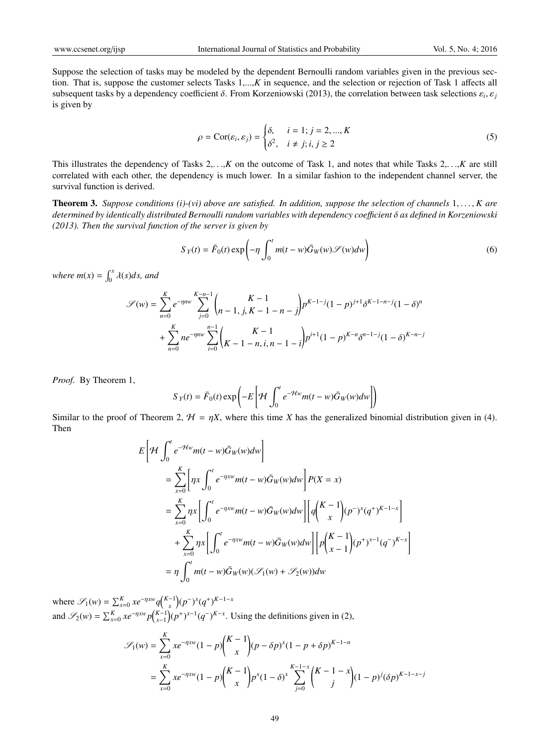Suppose the selection of tasks may be modeled by the dependent Bernoulli random variables given in the previous section. That is, suppose the customer selects Tasks 1,...,*K* in sequence, and the selection or rejection of Task 1 affects all subsequent tasks by a dependency coefficient  $\delta$ . From Korzeniowski (2013), the correlation between task selections  $\varepsilon_i$ ,  $\varepsilon_j$ is given by

$$
\rho = \text{Cor}(\varepsilon_i, \varepsilon_j) = \begin{cases} \delta, & i = 1; j = 2, \dots, K \\ \delta^2, & i \neq j; i, j \ge 2 \end{cases} \tag{5}
$$

This illustrates the dependency of Tasks  $2, \ldots, K$  on the outcome of Task 1, and notes that while Tasks  $2, \ldots, K$  are still correlated with each other, the dependency is much lower. In a similar fashion to the independent channel server, the survival function is derived.

**Theorem 3.** Suppose conditions (i)-(vi) above are satisfied. In addition, suppose the selection of channels  $1, \ldots, K$  are *determined by identically distributed Bernoulli random variables with dependency coe*ffi*cient* δ *as defined in Korzeniowski (2013). Then the survival function of the server is given by*

$$
S_Y(t) = \bar{F}_0(t) \exp\left(-\eta \int_0^t m(t - w)\bar{G}_W(w) \mathcal{S}(w) dw\right)
$$
 (6)

*where*  $m(x) = \int_0^x \lambda(s)ds$ , and

$$
\mathcal{S}(w) = \sum_{n=0}^{K} e^{-\eta n w} \sum_{j=0}^{K-n-1} {K-1 \choose n-1, j, K-1-n-j} p^{K-1-j} (1-p)^{j+1} \delta^{K-1-n-j} (1-\delta)^n
$$
  
+ 
$$
\sum_{n=0}^{K} n e^{-\eta n w} \sum_{i=0}^{n-1} {K-1 \choose K-1-n, i, n-1-i} p^{i+1} (1-p)^{K-n} \delta^{n-1-j} (1-\delta)^{K-n-j}
$$

*Proof.* By Theorem 1,

$$
S_Y(t) = \bar{F}_0(t) \exp\left(-E\left[\mathcal{H} \int_0^t e^{-\mathcal{H}w} m(t - w) \bar{G}_W(w) dw\right]\right)
$$

Similar to the proof of Theorem 2,  $H = \eta X$ , where this time *X* has the generalized binomial distribution given in (4). Then

$$
E\left[\mathcal{H}\int_{0}^{t}e^{-\mathcal{H}w}m(t-w)\bar{G}_{W}(w)dw\right]
$$
  
\n
$$
= \sum_{x=0}^{K}\left[\eta x \int_{0}^{t}e^{-\eta xw}m(t-w)\bar{G}_{W}(w)dw\right]P(X=x)
$$
  
\n
$$
= \sum_{x=0}^{K}\eta x \left[\int_{0}^{t}e^{-\eta xw}m(t-w)\bar{G}_{W}(w)dw\right]\left[q\binom{K-1}{x}(p^{-})^{x}(q^{+})^{K-1-x}\right]
$$
  
\n
$$
+ \sum_{x=0}^{K}\eta x \left[\int_{0}^{t}e^{-\eta xw}m(t-w)\bar{G}_{W}(w)dw\right]\left[p\binom{K-1}{x-1}(p^{+})^{x-1}(q^{-})^{K-x}\right]
$$
  
\n
$$
= \eta \int_{0}^{t}m(t-w)\bar{G}_{W}(w)(\mathcal{S}_{1}(w)+\mathcal{S}_{2}(w))dw
$$

where  $\mathscr{S}_1(w) = \sum_{x=0}^K x e^{-\eta x w} q \binom{K-1}{x} (p^{-})^x (q^+)^{K-1-x}$ and  $\mathscr{S}_2(w) = \sum_{x=0}^K xe^{-\eta xw} p_{x-1}^{K-1} (p^+)^{x-1} (q^-)^{K-x}$ . Using the definitions given in (2),

$$
\mathcal{S}_1(w) = \sum_{x=0}^K xe^{-\eta x w} (1-p) \binom{K-1}{x} (p-\delta p)^x (1-p+\delta p)^{K-1-n}
$$
  
= 
$$
\sum_{x=0}^K xe^{-\eta x w} (1-p) \binom{K-1}{x} p^x (1-\delta)^x \sum_{j=0}^{K-1-x} \binom{K-1-x}{j} (1-p)^j (\delta p)^{K-1-x-j}
$$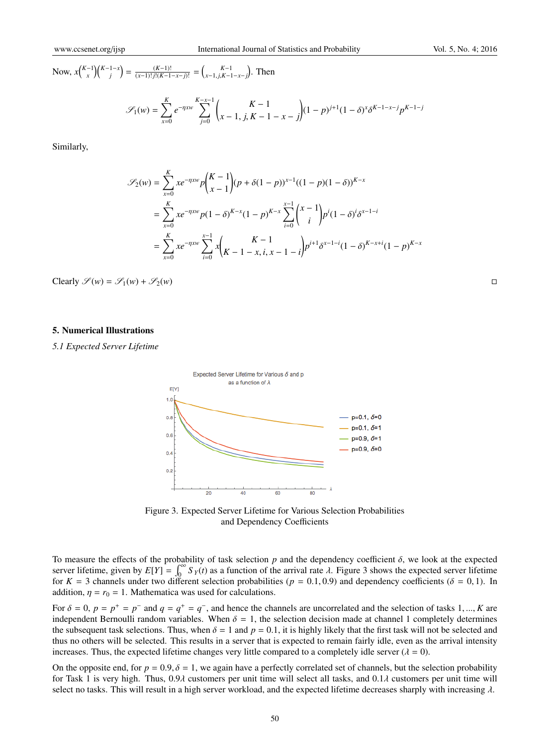Now,  $x\binom{K-1}{x}\binom{K-1-x}{j} = \frac{(K-1)!}{(x-1)!\,j!(K-1-x-j)!} = \binom{K-1}{x-1,j,K-1-x-j}$ . Then

$$
\mathcal{S}_1(w) = \sum_{x=0}^K e^{-\eta x w} \sum_{j=0}^{K-x-1} {K-1 \choose x-1, j, K-1-x-j} (1-p)^{j+1} (1-\delta)^x \delta^{K-1-x-j} p^{K-1-j}
$$

Similarly,

$$
\mathcal{S}_2(w) = \sum_{x=0}^K xe^{-\eta xw} p \binom{K-1}{x-1} (p + \delta(1-p))^{x-1} ((1-p)(1-\delta))^{K-x}
$$
  
= 
$$
\sum_{x=0}^K xe^{-\eta xw} p(1-\delta)^{K-x} (1-p)^{K-x} \sum_{i=0}^{x-1} \binom{x-1}{i} p^i (1-\delta)^i \delta^{x-1-i}
$$
  
= 
$$
\sum_{x=0}^K xe^{-\eta xw} \sum_{i=0}^{x-1} x \binom{K-1}{K-1-x, i, x-1-i} p^{i+1} \delta^{x-1-i} (1-\delta)^{K-x+i} (1-p)^{K-x}
$$

Clearly  $\mathscr{S}(w) = \mathscr{S}_1(w) + \mathscr{S}_2(w)$ 

### 5. Numerical Illustrations

*5.1 Expected Server Lifetime*



Figure 3. Expected Server Lifetime for Various Selection Probabilities and Dependency Coefficients

To measure the effects of the probability of task selection  $p$  and the dependency coefficient  $\delta$ , we look at the expected server lifetime, given by  $E[Y] = \int_0^\infty S_Y(t)$  as a function of the arrival rate  $\lambda$ . Figure 3 shows the expected server lifetime for  $K = 3$  channels under two different selection probabilities ( $p = 0.1, 0.9$ ) and dependency coefficients ( $\delta = 0, 1$ ). In addition,  $\eta = r_0 = 1$ . Mathematica was used for calculations.

For  $\delta = 0$ ,  $p = p^+ = p^-$  and  $q = q^+ = q^-$ , and hence the channels are uncorrelated and the selection of tasks 1, ..., *K* are independent Bernoulli random variables. When  $\delta = 1$ , the selection decision made at channel 1 completely determines the subsequent task selections. Thus, when  $\delta = 1$  and  $p = 0.1$ , it is highly likely that the first task will not be selected and thus no others will be selected. This results in a server that is expected to remain fairly idle, even as the arrival intensity increases. Thus, the expected lifetime changes very little compared to a completely idle server ( $\lambda = 0$ ).

On the opposite end, for  $p = 0.9$ ,  $\delta = 1$ , we again have a perfectly correlated set of channels, but the selection probability for Task 1 is very high. Thus, 0.9 $\lambda$  customers per unit time will select all tasks, and 0.1 $\lambda$  customers per unit time will select no tasks. This will result in a high server workload, and the expected lifetime decreases sharply with increasing  $\lambda$ .